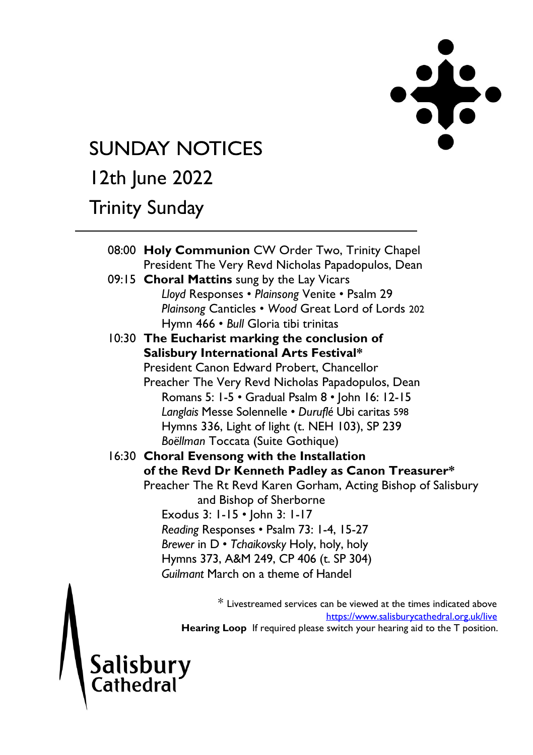

# **SUNDAY NOTICES**

# 12th June 2022

### Trinity Sunday

Salisbury<br>Cathedral

| 08:00 Holy Communion CW Order Two, Trinity Chapel                                         |
|-------------------------------------------------------------------------------------------|
| President The Very Revd Nicholas Papadopulos, Dean                                        |
| 09:15 Choral Mattins sung by the Lay Vicars                                               |
| Lloyd Responses . Plainsong Venite . Psalm 29                                             |
| Plainsong Canticles . Wood Great Lord of Lords 202                                        |
| Hymn 466 · Bull Gloria tibi trinitas                                                      |
| 10:30 The Eucharist marking the conclusion of                                             |
| Salisbury International Arts Festival*                                                    |
| President Canon Edward Probert. Chancellor                                                |
| Preacher The Very Revd Nicholas Papadopulos, Dean                                         |
| Romans 5: 1-5 • Gradual Psalm 8 • John 16: 12-15                                          |
| Langlais Messe Solennelle · Duruflé Ubi caritas 598                                       |
| Hymns 336, Light of light (t. NEH 103), SP 239                                            |
| Boëllman Toccata (Suite Gothique)                                                         |
| 16:30 Choral Evensong with the Installation                                               |
| of the Revd Dr Kenneth Padley as Canon Treasurer*                                         |
| Preacher The Rt Revd Karen Gorham, Acting Bishop of Salisbury                             |
| and Bishop of Sherborne                                                                   |
| Exodus 3: 1-15 • John 3: 1-17                                                             |
| Reading Responses . Psalm 73: 1-4, 15-27                                                  |
| Brewer in D · Tchaikovsky Holy, holy, holy                                                |
| Hymns 373, A&M 249, CP 406 (t. SP 304)                                                    |
| Guilmant March on a theme of Handel                                                       |
|                                                                                           |
| $*$ I is contracting and completely complex structured at the dimensional complete $\sim$ |

Livestreamed services can be viewed at the times indicated above <https://www.salisburycathedral.org.uk/live> Hearing Loop If required please switch your hearing aid to the T position.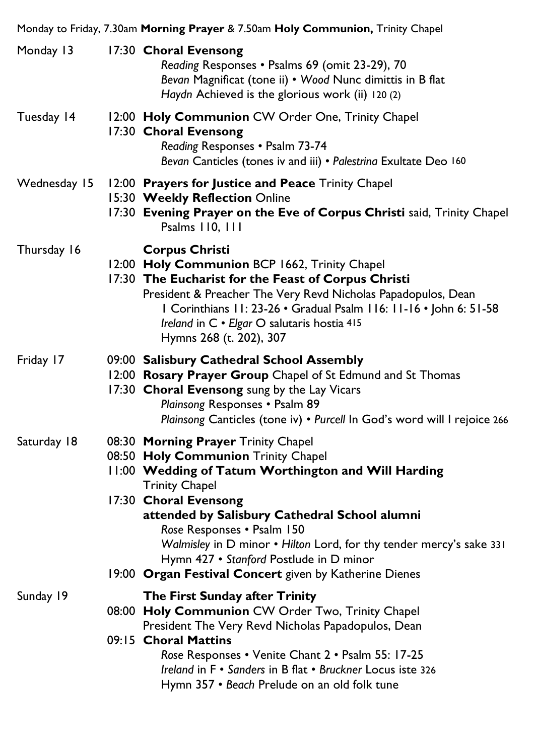|              | Monday to Friday, 7.30am Morning Prayer & 7.50am Holy Communion, Trinity Chapel                                                                                                                                                                                                                                                                                                                                                                |
|--------------|------------------------------------------------------------------------------------------------------------------------------------------------------------------------------------------------------------------------------------------------------------------------------------------------------------------------------------------------------------------------------------------------------------------------------------------------|
| Monday 13    | 17:30 Choral Evensong<br>Reading Responses . Psalms 69 (omit 23-29), 70<br>Bevan Magnificat (tone ii) • Wood Nunc dimittis in B flat<br>Haydn Achieved is the glorious work (ii) 120 (2)                                                                                                                                                                                                                                                       |
| Tuesday 14   | 12:00 Holy Communion CW Order One, Trinity Chapel<br>17:30 Choral Evensong<br>Reading Responses . Psalm 73-74<br>Bevan Canticles (tones iv and iii) · Palestrina Exultate Deo 160                                                                                                                                                                                                                                                              |
| Wednesday 15 | 12:00 Prayers for Justice and Peace Trinity Chapel<br>15:30 Weekly Reflection Online<br>17:30 Evening Prayer on the Eve of Corpus Christi said, Trinity Chapel<br>Psalms 110, 111                                                                                                                                                                                                                                                              |
| Thursday 16  | <b>Corpus Christi</b><br>12:00 Holy Communion BCP 1662, Trinity Chapel<br>17:30 The Eucharist for the Feast of Corpus Christi<br>President & Preacher The Very Revd Nicholas Papadopulos, Dean<br>I Corinthians 11: 23-26 · Gradual Psalm 116: 11-16 · John 6: 51-58<br>Ireland in C · Elgar O salutaris hostia 415<br>Hymns 268 (t. 202), 307                                                                                                 |
| Friday 17    | 09:00 Salisbury Cathedral School Assembly<br>12:00 Rosary Prayer Group Chapel of St Edmund and St Thomas<br>17:30 Choral Evensong sung by the Lay Vicars<br>Plainsong Responses . Psalm 89<br>Plainsong Canticles (tone iv) . Purcell In God's word will I rejoice 266                                                                                                                                                                         |
| Saturday 18  | 08:30 Morning Prayer Trinity Chapel<br>08:50 Holy Communion Trinity Chapel<br>11:00 Wedding of Tatum Worthington and Will Harding<br><b>Trinity Chapel</b><br>17:30 Choral Evensong<br>attended by Salisbury Cathedral School alumni<br>Rose Responses . Psalm 150<br>Walmisley in D minor . Hilton Lord, for thy tender mercy's sake 331<br>Hymn 427 • Stanford Postlude in D minor<br>19:00 Organ Festival Concert given by Katherine Dienes |
| Sunday 19    | The First Sunday after Trinity<br>08:00 Holy Communion CW Order Two, Trinity Chapel<br>President The Very Revd Nicholas Papadopulos, Dean<br>09:15 Choral Mattins<br>Rose Responses • Venite Chant 2 • Psalm 55: 17-25<br>Ireland in F · Sanders in B flat · Bruckner Locus iste 326<br>Hymn 357 • Beach Prelude on an old folk tune                                                                                                           |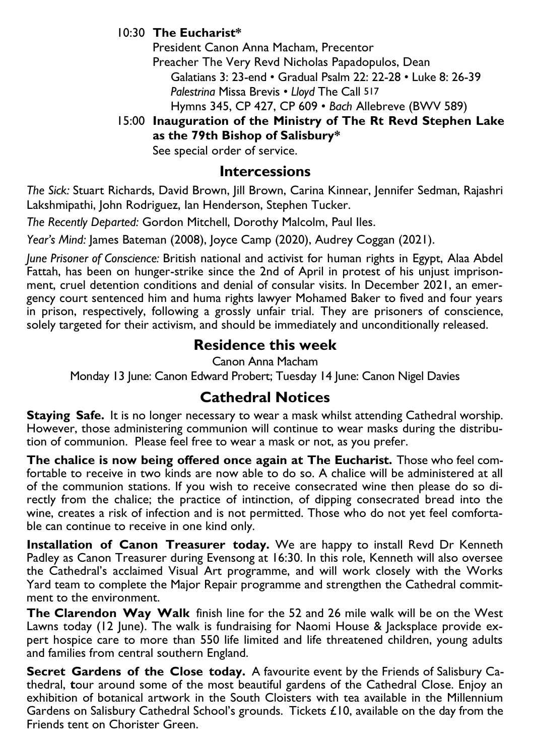#### 10:30 **The Eucharist\***

President Canon Anna Macham, Precentor Preacher The Very Revd Nicholas Papadopulos, Dean Galatians 3: 23-end • Gradual Psalm 22: 22-28 • Luke 8: 26-39 *Palestrina* Missa Brevis • *Lloyd* The Call 517 Hymns 345, CP 427, CP 609 • *Bach* Allebreve (BWV 589)

15:00 **Inauguration of the Ministry of The Rt Revd Stephen Lake as the 79th Bishop of Salisbury\*** 

See special order of service.

#### **Intercessions**

*The Sick:* Stuart Richards, David Brown, Jill Brown, Carina Kinnear, Jennifer Sedman, Rajashri Lakshmipathi, John Rodriguez, Ian Henderson, Stephen Tucker.

*The Recently Departed:* Gordon Mitchell, Dorothy Malcolm, Paul Iles.

*Year's Mind:* James Bateman (2008), Joyce Camp (2020), Audrey Coggan (2021).

*June Prisoner of Conscience:* British national and activist for human rights in Egypt, Alaa Abdel Fattah, has been on hunger-strike since the 2nd of April in protest of his unjust imprisonment, cruel detention conditions and denial of consular visits. In December 2021, an emergency court sentenced him and huma rights lawyer Mohamed Baker to fived and four years in prison, respectively, following a grossly unfair trial. They are prisoners of conscience, solely targeted for their activism, and should be immediately and unconditionally released.

#### **Residence this week**

Canon Anna Macham

Monday 13 June: Canon Edward Probert; Tuesday 14 June: Canon Nigel Davies

### **Cathedral Notices**

**Staying Safe.** It is no longer necessary to wear a mask whilst attending Cathedral worship. However, those administering communion will continue to wear masks during the distribution of communion. Please feel free to wear a mask or not, as you prefer.

**The chalice is now being offered once again at The Eucharist.** Those who feel comfortable to receive in two kinds are now able to do so. A chalice will be administered at all of the communion stations. If you wish to receive consecrated wine then please do so directly from the chalice; the practice of intinction, of dipping consecrated bread into the wine, creates a risk of infection and is not permitted. Those who do not yet feel comfortable can continue to receive in one kind only.

**Installation of Canon Treasurer today.** We are happy to install Revd Dr Kenneth Padley as Canon Treasurer during Evensong at 16:30. In this role, Kenneth will also oversee the Cathedral's acclaimed Visual Art programme, and will work closely with the Works Yard team to complete the Major Repair programme and strengthen the Cathedral commitment to the environment.

**The Clarendon Way Walk** finish line for the 52 and 26 mile walk will be on the West Lawns today (12 June). The walk is fundraising for Naomi House & Jacksplace provide expert hospice care to more than 550 life limited and life threatened children, young adults and families from central southern England.

**Secret Gardens of the Close today.** A favourite event by the Friends of Salisbury Cathedral, **t**our around some of the most beautiful gardens of the Cathedral Close. Enjoy an exhibition of botanical artwork in the South Cloisters with tea available in the Millennium Gardens on Salisbury Cathedral School's grounds. Tickets £10, available on the day from the Friends tent on Chorister Green.